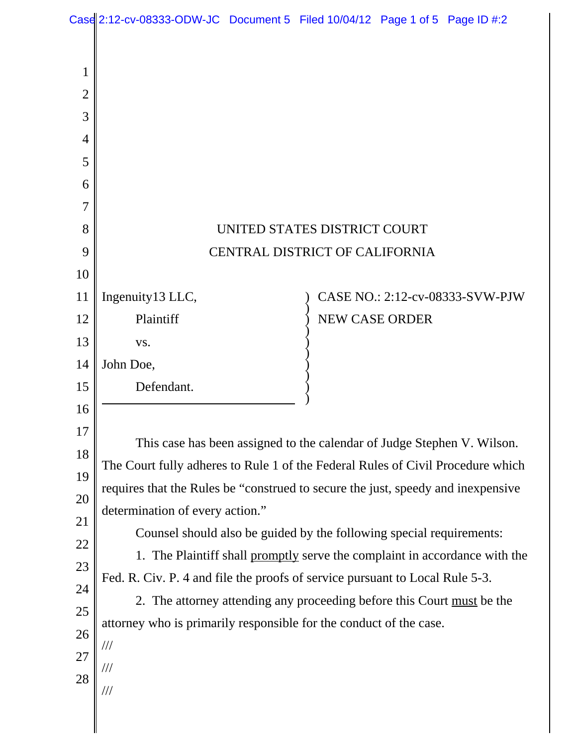|                | Case 2:12-cv-08333-ODW-JC Document 5 Filed 10/04/12 Page 1 of 5 Page ID #:2                                                                                                                                                                                                       |  |  |                       |                                 |  |
|----------------|-----------------------------------------------------------------------------------------------------------------------------------------------------------------------------------------------------------------------------------------------------------------------------------|--|--|-----------------------|---------------------------------|--|
|                |                                                                                                                                                                                                                                                                                   |  |  |                       |                                 |  |
| $\mathbf{1}$   |                                                                                                                                                                                                                                                                                   |  |  |                       |                                 |  |
| $\overline{2}$ |                                                                                                                                                                                                                                                                                   |  |  |                       |                                 |  |
| 3              |                                                                                                                                                                                                                                                                                   |  |  |                       |                                 |  |
| $\overline{4}$ |                                                                                                                                                                                                                                                                                   |  |  |                       |                                 |  |
| 5              |                                                                                                                                                                                                                                                                                   |  |  |                       |                                 |  |
| 6              |                                                                                                                                                                                                                                                                                   |  |  |                       |                                 |  |
| $\overline{7}$ |                                                                                                                                                                                                                                                                                   |  |  |                       |                                 |  |
| 8              | UNITED STATES DISTRICT COURT                                                                                                                                                                                                                                                      |  |  |                       |                                 |  |
| 9              | CENTRAL DISTRICT OF CALIFORNIA                                                                                                                                                                                                                                                    |  |  |                       |                                 |  |
| 10             |                                                                                                                                                                                                                                                                                   |  |  |                       |                                 |  |
| 11             | Ingenuity13 LLC,                                                                                                                                                                                                                                                                  |  |  |                       | CASE NO.: 2:12-cv-08333-SVW-PJW |  |
| 12             | Plaintiff                                                                                                                                                                                                                                                                         |  |  | <b>NEW CASE ORDER</b> |                                 |  |
| 13             | VS.                                                                                                                                                                                                                                                                               |  |  |                       |                                 |  |
| 14             | John Doe,                                                                                                                                                                                                                                                                         |  |  |                       |                                 |  |
| 15             | Defendant.                                                                                                                                                                                                                                                                        |  |  |                       |                                 |  |
| 16             |                                                                                                                                                                                                                                                                                   |  |  |                       |                                 |  |
| 17             |                                                                                                                                                                                                                                                                                   |  |  |                       |                                 |  |
| 18             | This case has been assigned to the calendar of Judge Stephen V. Wilson.<br>The Court fully adheres to Rule 1 of the Federal Rules of Civil Procedure which<br>requires that the Rules be "construed to secure the just, speedy and inexpensive<br>determination of every action." |  |  |                       |                                 |  |
| 19             |                                                                                                                                                                                                                                                                                   |  |  |                       |                                 |  |
| 20             |                                                                                                                                                                                                                                                                                   |  |  |                       |                                 |  |
| 21             | Counsel should also be guided by the following special requirements:                                                                                                                                                                                                              |  |  |                       |                                 |  |
| 22             | 1. The Plaintiff shall promptly serve the complaint in accordance with the<br>Fed. R. Civ. P. 4 and file the proofs of service pursuant to Local Rule 5-3.<br>2. The attorney attending any proceeding before this Court must be the                                              |  |  |                       |                                 |  |
| 23             |                                                                                                                                                                                                                                                                                   |  |  |                       |                                 |  |
| 24             |                                                                                                                                                                                                                                                                                   |  |  |                       |                                 |  |
| $25\,$         | attorney who is primarily responsible for the conduct of the case.                                                                                                                                                                                                                |  |  |                       |                                 |  |
| 26             | ///                                                                                                                                                                                                                                                                               |  |  |                       |                                 |  |
| 27             | ///                                                                                                                                                                                                                                                                               |  |  |                       |                                 |  |
| 28             | ///                                                                                                                                                                                                                                                                               |  |  |                       |                                 |  |
|                |                                                                                                                                                                                                                                                                                   |  |  |                       |                                 |  |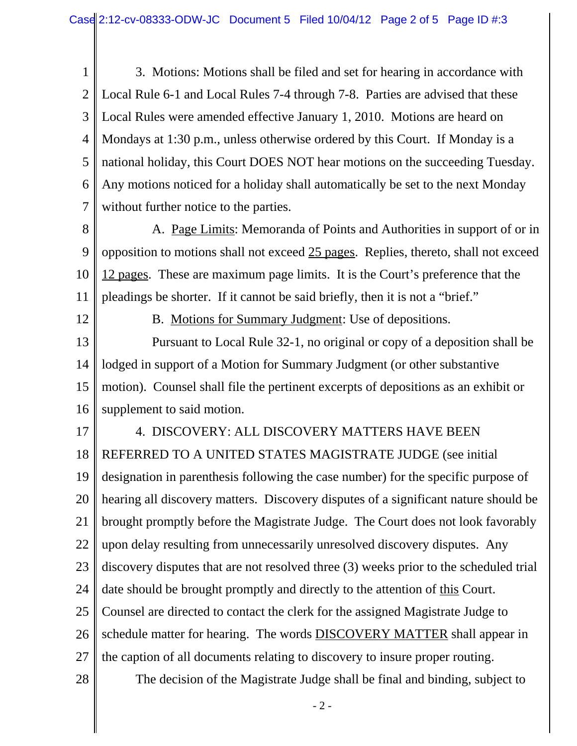1 2 3 4 5 6 7 3. Motions: Motions shall be filed and set for hearing in accordance with Local Rule 6-1 and Local Rules 7-4 through 7-8. Parties are advised that these Local Rules were amended effective January 1, 2010. Motions are heard on Mondays at 1:30 p.m., unless otherwise ordered by this Court. If Monday is a national holiday, this Court DOES NOT hear motions on the succeeding Tuesday. Any motions noticed for a holiday shall automatically be set to the next Monday without further notice to the parties.

8 9 10 11 A. Page Limits: Memoranda of Points and Authorities in support of or in opposition to motions shall not exceed 25 pages. Replies, thereto, shall not exceed 12 pages. These are maximum page limits. It is the Court's preference that the pleadings be shorter. If it cannot be said briefly, then it is not a "brief."

12

B. Motions for Summary Judgment: Use of depositions.

13 14 15 16 Pursuant to Local Rule 32-1, no original or copy of a deposition shall be lodged in support of a Motion for Summary Judgment (or other substantive motion). Counsel shall file the pertinent excerpts of depositions as an exhibit or supplement to said motion.

17 18 19 20 21 22 23 24 25 26 27 4. DISCOVERY: ALL DISCOVERY MATTERS HAVE BEEN REFERRED TO A UNITED STATES MAGISTRATE JUDGE (see initial designation in parenthesis following the case number) for the specific purpose of hearing all discovery matters. Discovery disputes of a significant nature should be brought promptly before the Magistrate Judge. The Court does not look favorably upon delay resulting from unnecessarily unresolved discovery disputes. Any discovery disputes that are not resolved three (3) weeks prior to the scheduled trial date should be brought promptly and directly to the attention of <u>this</u> Court. Counsel are directed to contact the clerk for the assigned Magistrate Judge to schedule matter for hearing. The words DISCOVERY MATTER shall appear in the caption of all documents relating to discovery to insure proper routing.

28

The decision of the Magistrate Judge shall be final and binding, subject to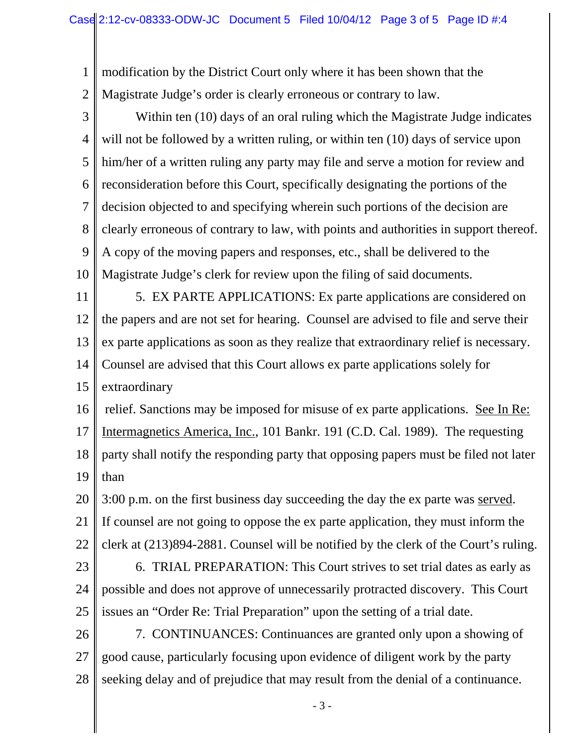1 2 modification by the District Court only where it has been shown that the Magistrate Judge's order is clearly erroneous or contrary to law.

3 4 5 6 7 8 9 10 Within ten (10) days of an oral ruling which the Magistrate Judge indicates will not be followed by a written ruling, or within ten (10) days of service upon him/her of a written ruling any party may file and serve a motion for review and reconsideration before this Court, specifically designating the portions of the decision objected to and specifying wherein such portions of the decision are clearly erroneous of contrary to law, with points and authorities in support thereof. A copy of the moving papers and responses, etc., shall be delivered to the Magistrate Judge's clerk for review upon the filing of said documents.

11 12 13 14 15 5. EX PARTE APPLICATIONS: Ex parte applications are considered on the papers and are not set for hearing. Counsel are advised to file and serve their ex parte applications as soon as they realize that extraordinary relief is necessary. Counsel are advised that this Court allows ex parte applications solely for extraordinary

16 17 18 19 relief. Sanctions may be imposed for misuse of ex parte applications. See In Re: Intermagnetics America, Inc., 101 Bankr. 191 (C.D. Cal. 1989). The requesting party shall notify the responding party that opposing papers must be filed not later than

20 21 22 3:00 p.m. on the first business day succeeding the day the ex parte was served. If counsel are not going to oppose the ex parte application, they must inform the clerk at (213)894-2881. Counsel will be notified by the clerk of the Court's ruling.

23 24 25 6. TRIAL PREPARATION: This Court strives to set trial dates as early as possible and does not approve of unnecessarily protracted discovery. This Court issues an "Order Re: Trial Preparation" upon the setting of a trial date.

26 27 28 7. CONTINUANCES: Continuances are granted only upon a showing of good cause, particularly focusing upon evidence of diligent work by the party seeking delay and of prejudice that may result from the denial of a continuance.

- 3 -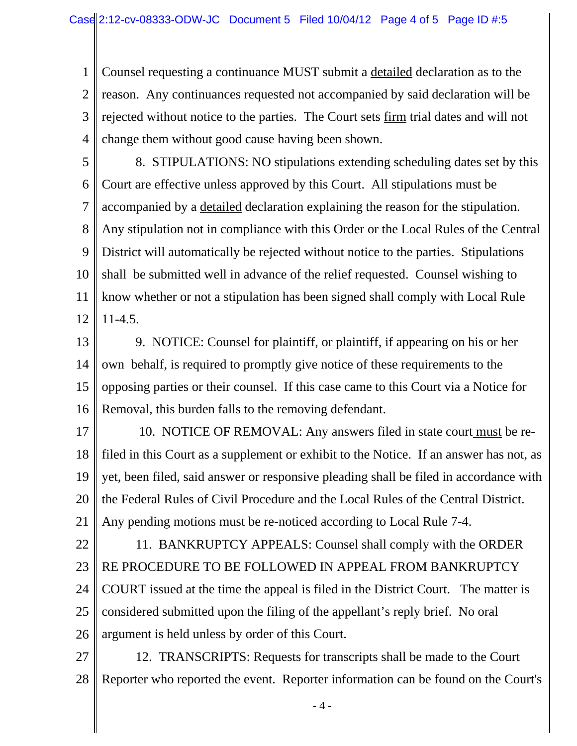1 2 3 4 Counsel requesting a continuance MUST submit a detailed declaration as to the reason. Any continuances requested not accompanied by said declaration will be rejected without notice to the parties. The Court sets firm trial dates and will not change them without good cause having been shown.

5 6 7 8 9 10 11 12 8. STIPULATIONS: NO stipulations extending scheduling dates set by this Court are effective unless approved by this Court. All stipulations must be accompanied by a detailed declaration explaining the reason for the stipulation. Any stipulation not in compliance with this Order or the Local Rules of the Central District will automatically be rejected without notice to the parties. Stipulations shall be submitted well in advance of the relief requested. Counsel wishing to know whether or not a stipulation has been signed shall comply with Local Rule 11-4.5.

- 13 14 15 16 9. NOTICE: Counsel for plaintiff, or plaintiff, if appearing on his or her own behalf, is required to promptly give notice of these requirements to the opposing parties or their counsel. If this case came to this Court via a Notice for Removal, this burden falls to the removing defendant.
- 17 18 19 20 21 10. NOTICE OF REMOVAL: Any answers filed in state court must be refiled in this Court as a supplement or exhibit to the Notice. If an answer has not, as yet, been filed, said answer or responsive pleading shall be filed in accordance with the Federal Rules of Civil Procedure and the Local Rules of the Central District. Any pending motions must be re-noticed according to Local Rule 7-4.
- 22 23 24 25 26 11. BANKRUPTCY APPEALS: Counsel shall comply with the ORDER RE PROCEDURE TO BE FOLLOWED IN APPEAL FROM BANKRUPTCY COURT issued at the time the appeal is filed in the District Court. The matter is considered submitted upon the filing of the appellant's reply brief. No oral argument is held unless by order of this Court.
- 27 28 12. TRANSCRIPTS: Requests for transcripts shall be made to the Court Reporter who reported the event. Reporter information can be found on the Court's